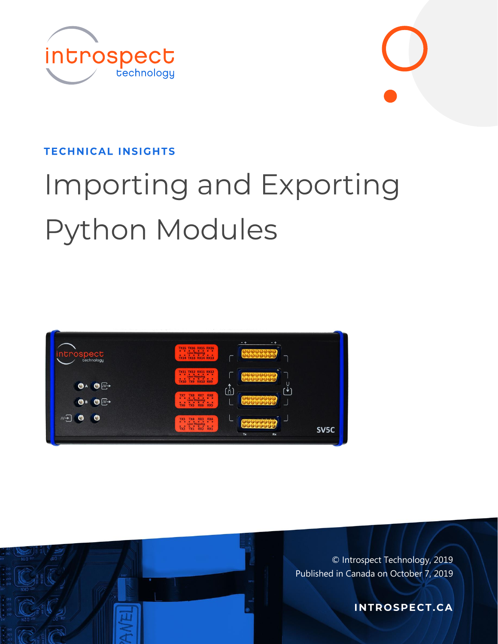



# Importing and Exporting **Python Modules**





© Introspect Technology, 2019 Published in Canada on October 7, 2019

**INTROSPECT.CA**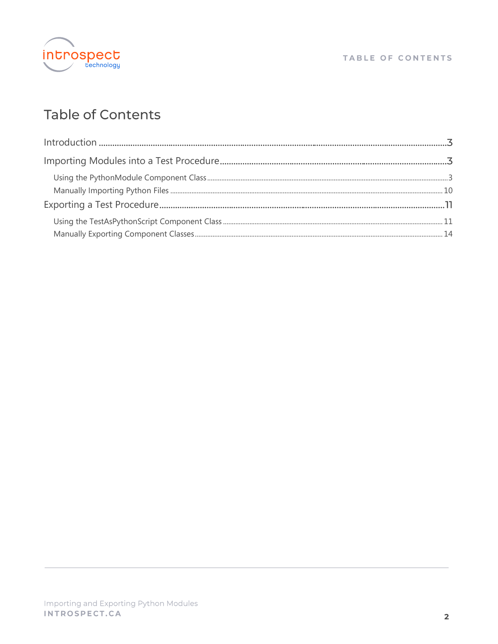

#### TABLE OF CONTENTS

# **Table of Contents**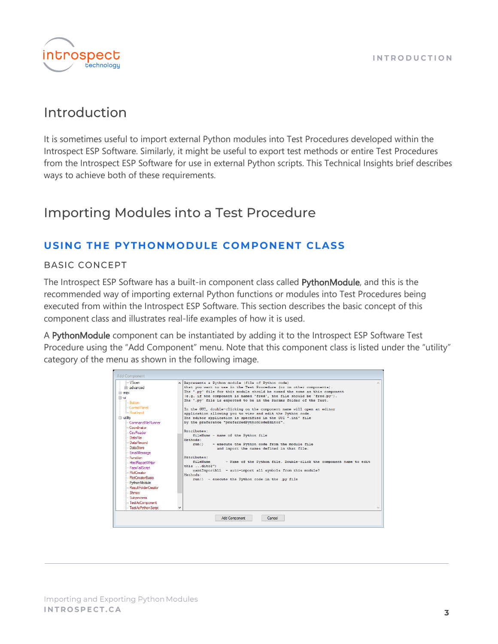

## <span id="page-2-0"></span>Introduction

It is sometimes useful to import external Python modules into Test Procedures developed within the Introspect ESP Software. Similarly, it might be useful to export test methods or entire Test Procedures from the Introspect ESP Software for use in external Python scripts. This Technical Insights brief describes ways to achieve both of these requirements.

# <span id="page-2-1"></span>**Importing Modules into a Test Procedure**

## <span id="page-2-2"></span>USING THE PYTHONMODULE COMPONENT CLASS

#### **BASIC CONCEPT**

The Introspect ESP Software has a built-in component class called PythonModule, and this is the recommended way of importing external Python functions or modules into Test Procedures being executed from within the Introspect ESP Software. This section describes the basic concept of this component class and illustrates real-life examples of how it is used.

A PythonModule component can be instantiated by adding it to the Introspect ESP Software Test Procedure using the "Add Component" menu. Note that this component class is listed under the "utility" category of the menu as shown in the following image.

| <b>Add Component</b>                                                                                                                                                                                                                                                                                                                                                                                                                                                           |              |                                                                                                                                                                                                                                                                                                                                                                                                                                                                                                                                                                                                                                                                                                                                                                                                                                                                                                                                                                                                                                        |  |
|--------------------------------------------------------------------------------------------------------------------------------------------------------------------------------------------------------------------------------------------------------------------------------------------------------------------------------------------------------------------------------------------------------------------------------------------------------------------------------|--------------|----------------------------------------------------------------------------------------------------------------------------------------------------------------------------------------------------------------------------------------------------------------------------------------------------------------------------------------------------------------------------------------------------------------------------------------------------------------------------------------------------------------------------------------------------------------------------------------------------------------------------------------------------------------------------------------------------------------------------------------------------------------------------------------------------------------------------------------------------------------------------------------------------------------------------------------------------------------------------------------------------------------------------------------|--|
| - VScan<br>Fi-advanced<br>$\overline{+}$ mipi<br>Ĥ~ui<br>- Button<br>ControlPanel<br>- Float Input<br><b>E</b> -utility<br>- Command File Runner<br>Coordinator<br>- CsvReader<br>- DataFile<br>- Data Record<br>DataStore<br><b>EmailMessage</b><br>- Function<br>-- HtmlReportWriter<br>- PassFailScript<br>- PlotCreator<br><b>PlotCreatorBasic</b><br>PythonModule<br>Result FolderCreator<br>- Shmoo<br>-- Subprocess<br>--- TestAsComponent<br>--- Test As Python Script | $\checkmark$ | A Represents a Python module (file of Python code)<br>that you want to use in the Test Procedure (or in other components).<br>The '.pv' file for this module should be named the same as this component<br>(e.g. if the component is named 'fred', the file should be 'fred.py').<br>The '.pv' file is expected to be in the Params folder of the Test.<br>In the GUI, double-clicking on the component name will open an editor<br>application allowing you to view and edit the Python code.<br>The editor application is specified in the GUI ".ini" file<br>by the preference "preferredPythonCodeEditor".<br>Attributes:<br>fileName - name of the Python file<br>Methods:<br>- execute the Python code from the module file<br>run()<br>and import the names defined in that file.<br>Attributes:<br>- Name of the Python file. Double-click the component name to edit<br>fileName<br>this  ditor")<br>wantImportAll - auto-import all symbols from this module?<br>Methods:<br>run() - execute the Python code in the .pv file |  |
|                                                                                                                                                                                                                                                                                                                                                                                                                                                                                |              | <b>Add Component</b><br>Cancel                                                                                                                                                                                                                                                                                                                                                                                                                                                                                                                                                                                                                                                                                                                                                                                                                                                                                                                                                                                                         |  |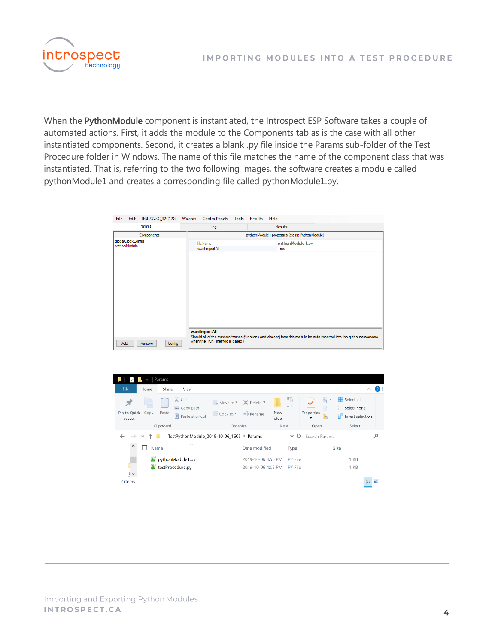

When the PythonModule component is instantiated, the Introspect ESP Software takes a couple of automated actions. First, it adds the module to the Components tab as is the case with all other instantiated components. Second, it creates a blank .py file inside the Params sub-folder of the Test Procedure folder in Windows. The name of this file matches the name of the component class that was instantiated. That is, referring to the two following images, the software creates a module called pythonModule1 and creates a corresponding file called pythonModule1.py.

| File<br>Edit                       | IESP/SV3C_32C12G | Wizards | ControlPanels                                       | Tools | <b>Results</b> | Help                                           |                                                                                                                     |  |
|------------------------------------|------------------|---------|-----------------------------------------------------|-------|----------------|------------------------------------------------|---------------------------------------------------------------------------------------------------------------------|--|
|                                    | Params           |         | Log                                                 |       |                | Results                                        |                                                                                                                     |  |
|                                    | Components       |         |                                                     |       |                | pythonModule1 properties (class: PythonModule) |                                                                                                                     |  |
| qlobalClockConfig<br>pythonModule1 |                  |         | fileName<br>want Import All                         |       |                | pythonModule1.py<br>True                       |                                                                                                                     |  |
| Add                                | Config<br>Remove |         | want Import All<br>when the "run" method is called? |       |                |                                                | Should all of the symbols/names (functions and classes) from this module be auto-imported into the global namespace |  |

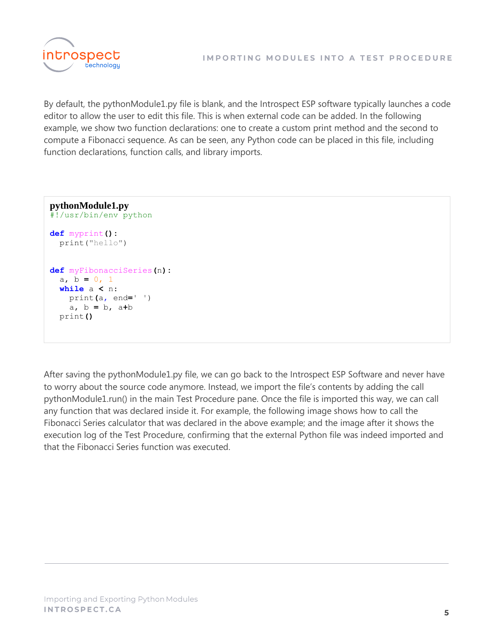

By default, the pythonModule1.py file is blank, and the Introspect ESP software typically launches a code editor to allow the user to edit this file. This is when external code can be added. In the following example, we show two function declarations: one to create a custom print method and the second to compute a Fibonacci sequence. As can be seen, any Python code can be placed in this file, including function declarations, function calls, and library imports.

```
pythonModule1.py
#!/usr/bin/env python
def myprint():
  print("hello")
def myFibonacciSeries(n):
  a, b = 0, 1
  while a < n:
    print(a, end=' ')
    a, b = b, a+b
  print()
```
After saving the pythonModule1.py file, we can go back to the Introspect ESP Software and never have to worry about the source code anymore. Instead, we import the file's contents by adding the call pythonModule1.run() in the main Test Procedure pane. Once the file is imported this way, we can call any function that was declared inside it. For example, the following image shows how to call the Fibonacci Series calculator that was declared in the above example; and the image after it shows the execution log of the Test Procedure, confirming that the external Python file was indeed imported and that the Fibonacci Series function was executed.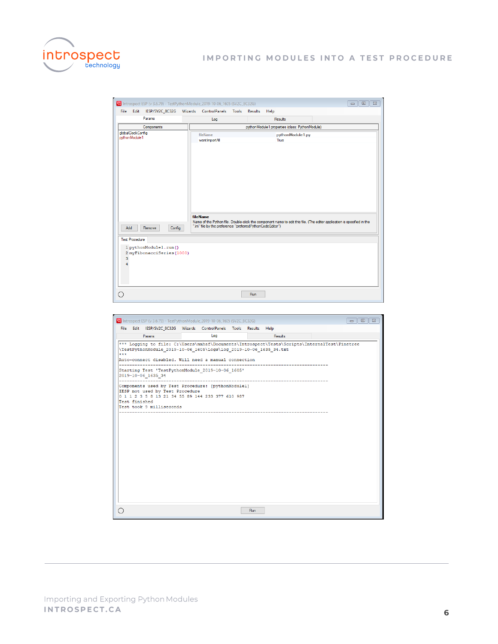

|      |                                                                              | <b>W</b> Introspect ESP (v 3.6.79) - TestPythonModule_2019-10-06_1605 (SV2C_8C32G) |                                                                                                                                                                                                                                |  |                |      |                  |  | $\Sigma$<br>▣<br>$\Box$ |  |
|------|------------------------------------------------------------------------------|------------------------------------------------------------------------------------|--------------------------------------------------------------------------------------------------------------------------------------------------------------------------------------------------------------------------------|--|----------------|------|------------------|--|-------------------------|--|
| File | Edit                                                                         | IESP/SV2C_8C32G                                                                    | Wizards ControlPanels Tools                                                                                                                                                                                                    |  | <b>Results</b> | Help |                  |  |                         |  |
|      |                                                                              | Params                                                                             | Log                                                                                                                                                                                                                            |  | Results        |      |                  |  |                         |  |
|      |                                                                              | Components                                                                         | pythonModule1 properties (class: PythonModule)                                                                                                                                                                                 |  |                |      |                  |  |                         |  |
|      | globalClockConfig<br>pythonModule1<br>Add<br><b>Test Procedure</b><br>3<br>4 | Config<br>Remove<br>1 pythonModulel.run()<br>2 myFibonacciSeries (1000)            | fileName<br>wantImportAll<br>fileName<br>Name of the Python file. Double-click the component name to edit this file. (The editor application is specified in the<br>".ini" file by the preference "preferredPythonCodeEditor") |  |                | True | pythonModule1.py |  |                         |  |
|      |                                                                              |                                                                                    |                                                                                                                                                                                                                                |  | Run            |      |                  |  |                         |  |

|     |               | The Introspect ESP (v 3.6.79) - TestPythonModule_2019-10-06_1605 (SV2C_8C32G)                                                                                                                                                                                                                                                                                                                                                                                                |     |            |                                |  | $\Sigma$<br>同 |
|-----|---------------|------------------------------------------------------------------------------------------------------------------------------------------------------------------------------------------------------------------------------------------------------------------------------------------------------------------------------------------------------------------------------------------------------------------------------------------------------------------------------|-----|------------|--------------------------------|--|---------------|
|     |               | File Edit IESP/SV2C 8C32G Wizards ControlPanels Tools Results Help                                                                                                                                                                                                                                                                                                                                                                                                           |     |            |                                |  |               |
|     |               | Params                                                                                                                                                                                                                                                                                                                                                                                                                                                                       | Log |            | Results                        |  |               |
| *** | Test finished | *** Logging to file: C:\Users\mmhaf\Documents\Introspect\Tests\Scripts\InternalTest\Pinetree<br>\TestPythonModule 2019-10-06 1605\Logs\log 2019-10-06 1635 34.txt<br>Auto-connect disabled. Will need a manual connection<br>Starting Test 'TestPythonModule 2019-10-06 1605'<br>2019-10-06 1635 34<br>Components used by Test Procedure: [pythonModulel]<br>IESP not used by Test Procedure<br>0 1 1 2 3 5 8 13 21 34 55 89 144 233 377 610 987<br>Test took 9 milliseconds |     |            | ------------------------------ |  |               |
|     |               |                                                                                                                                                                                                                                                                                                                                                                                                                                                                              |     | <b>Run</b> |                                |  |               |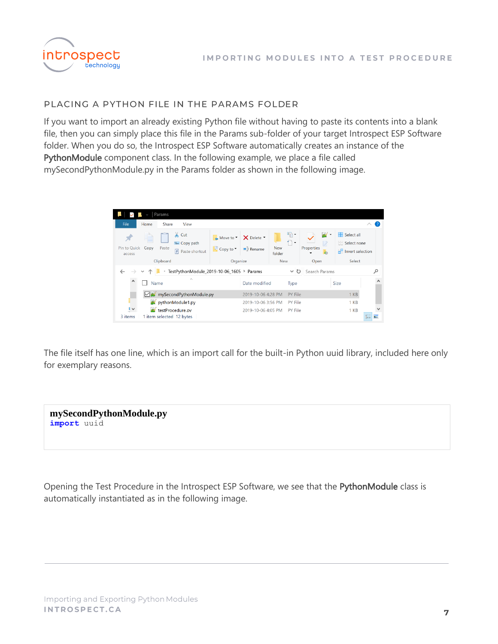

#### PLACING A PYTHON FILE IN THE PARAMS FOLDER

If you want to import an already existing Python file without having to paste its contents into a blank file, then you can simply place this file in the Params sub-folder of your target Introspect ESP Software folder. When you do so, the Introspect ESP Software automatically creates an instance of the PythonModule component class. In the following example, we place a file called mySecondPythonModule.py in the Params folder as shown in the following image.



The file itself has one line, which is an import call for the built-in Python uuid library, included here only for exemplary reasons.

**mySecondPythonModule.py import** uuid

Opening the Test Procedure in the Introspect ESP Software, we see that the PythonModule class is automatically instantiated as in the following image.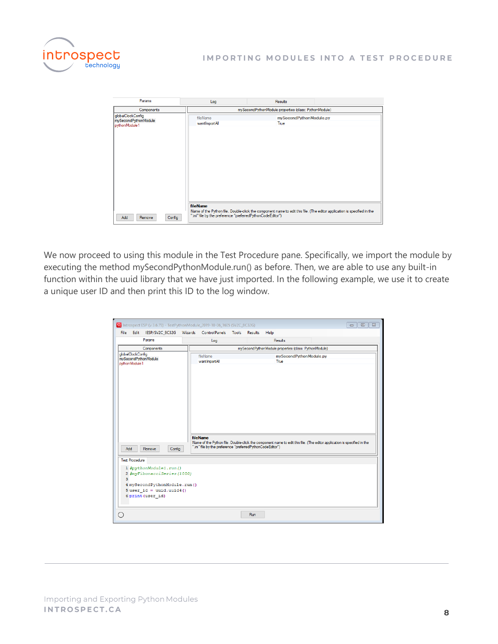

| Params                                                     | Log                                                                    | Results                                                                                                                 |  |
|------------------------------------------------------------|------------------------------------------------------------------------|-------------------------------------------------------------------------------------------------------------------------|--|
| Components                                                 |                                                                        | mySecondPythonModule properties (class: PythonModule)                                                                   |  |
| globalClockConfig<br>mySecondPythonModule<br>pythonModule1 | fileName<br>wantImportAll                                              | mySecondPythonModule.py<br>True                                                                                         |  |
|                                                            |                                                                        |                                                                                                                         |  |
|                                                            |                                                                        |                                                                                                                         |  |
|                                                            |                                                                        |                                                                                                                         |  |
| Add<br>Remove<br>Config                                    | fileName<br>".ini" file by the preference "preferredPythonCodeEditor") | Name of the Python file. Double-click the component name to edit this file. (The editor application is specified in the |  |

We now proceed to using this module in the Test Procedure pane. Specifically, we import the module by executing the method mySecondPythonModule.run() as before. Then, we are able to use any built-in function within the uuid library that we have just imported. In the following example, we use it to create a unique user ID and then print this ID to the log window.

|                                                                                                                                                                         |  |                  |  | <b>W</b> Introspect ESP (v 3.6.79) - TestPythonModule_2019-10-06_1605 (SV2C_8C32G) |  |  |                                                       |  | $\Sigma$<br>$\qquad \qquad \Box$<br>$\Box$                                                                              |
|-------------------------------------------------------------------------------------------------------------------------------------------------------------------------|--|------------------|--|------------------------------------------------------------------------------------|--|--|-------------------------------------------------------|--|-------------------------------------------------------------------------------------------------------------------------|
| <b>File</b>                                                                                                                                                             |  |                  |  | Edit IESP/SV2C_8C32G Wizards ControlPanels Tools Results                           |  |  | Help                                                  |  |                                                                                                                         |
|                                                                                                                                                                         |  | Params           |  | Log                                                                                |  |  | Results                                               |  |                                                                                                                         |
|                                                                                                                                                                         |  | Components       |  |                                                                                    |  |  | mySecondPythonModule properties (class: PythonModule) |  |                                                                                                                         |
| qlobalClockConfig<br>mySecondPythonModule.py<br>fileName<br>mySecondPythonModule<br>wantImportAll<br>True<br>pythonModule1                                              |  |                  |  |                                                                                    |  |  |                                                       |  |                                                                                                                         |
| Add                                                                                                                                                                     |  | Remove<br>Config |  | fileName<br>".ini" file by the preference "preferredPythonCodeEditor")             |  |  |                                                       |  | Name of the Python file. Double-click the component name to edit this file. (The editor application is specified in the |
| <b>Test Procedure</b><br>1 #pythonModule1.run()<br>2 #myFibonacciSeries (1000)<br>3.<br>4 mySecondPythonModule.run()<br>$5$ user id = uuid.uuid4()<br>6 print (user id) |  |                  |  |                                                                                    |  |  |                                                       |  |                                                                                                                         |
| Run                                                                                                                                                                     |  |                  |  |                                                                                    |  |  |                                                       |  |                                                                                                                         |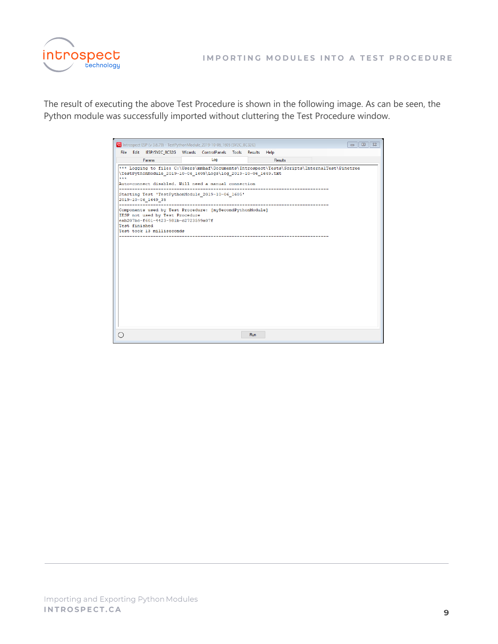

The result of executing the above Test Procedure is shown in the following image. As can be seen, the Python module was successfully imported without cluttering the Test Procedure window.

|               | The Introspect ESP (v 3.6.79) - TestPythonModule 2019-10-06_1605 (SV2C_8C32G)                                                                                                                                          |     |     |         |  | $\Sigma$<br>$\Box$<br>$\Box$ |
|---------------|------------------------------------------------------------------------------------------------------------------------------------------------------------------------------------------------------------------------|-----|-----|---------|--|------------------------------|
|               | File Edit IESP/SV2C 8C32G Wizards ControlPanels Tools Results Help                                                                                                                                                     |     |     |         |  |                              |
|               | Params                                                                                                                                                                                                                 | Log |     | Results |  |                              |
| ***           | *** Logging to file: C:\Users\mmhaf\Documents\Introspect\Tests\Scripts\InternalTest\Pinetree<br>\TestPythonModule 2019-10-06 1605\Logs\log 2019-10-06 1649.txt<br>Auto-connect disabled. Will need a manual connection |     |     |         |  |                              |
|               | Starting Test 'TestPythonModule 2019-10-06 1605'<br>2019-10-06 1649 35                                                                                                                                                 |     |     |         |  |                              |
| Test finished | Components used by Test Procedure: [mvSecondPythonModule]<br>IESP not used by Test Procedure<br>eab207bc-f601-4423-981b-c2723599a07f<br>Test took 13 milliseconds                                                      |     |     |         |  |                              |
|               |                                                                                                                                                                                                                        |     | Run |         |  |                              |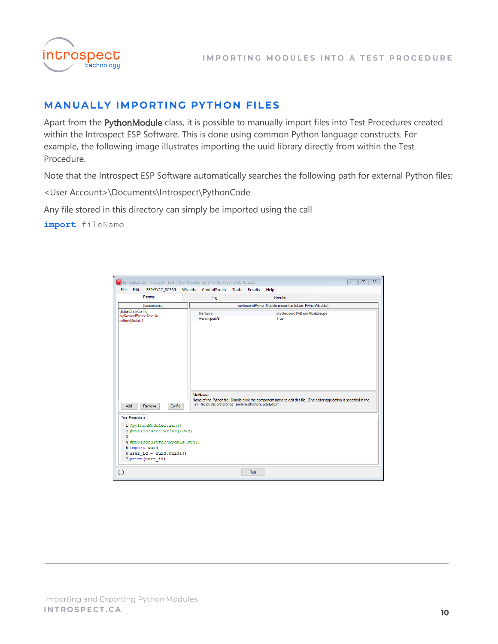

## <span id="page-9-0"></span>**MANUALLY IMPORTING PYTHON FILES**

Apart from the PythonModule class, it is possible to manually import files into Test Procedures created within the Introspect ESP Software. This is done using common Python language constructs. For example, the following image illustrates importing the uuid library directly from within the Test Procedure.

Note that the Introspect ESP Software automatically searches the following path for external Python files:

<User Account>\Documents\Introspect\PythonCode

Any file stored in this directory can simply be imported using the call

**import** fileName

|      |                                                                                                                                                                                          | <b>W</b> Introspect ESP (v 3.6.79) - TestPythonModule_2019-10-06_1605 (SV2C_8C32G) |                                                                                                                                                                                                                                                                   |                                                       |  |         |      |  | $\mathbb{Z}^2$<br>$\qquad \qquad \Box$<br>$\equiv$ |  |
|------|------------------------------------------------------------------------------------------------------------------------------------------------------------------------------------------|------------------------------------------------------------------------------------|-------------------------------------------------------------------------------------------------------------------------------------------------------------------------------------------------------------------------------------------------------------------|-------------------------------------------------------|--|---------|------|--|----------------------------------------------------|--|
| File | Edit                                                                                                                                                                                     | IESP/SV2C_8C32G Wizards ControlPanels Tools Results                                |                                                                                                                                                                                                                                                                   |                                                       |  |         | Help |  |                                                    |  |
|      | Params                                                                                                                                                                                   |                                                                                    |                                                                                                                                                                                                                                                                   | Log                                                   |  | Results |      |  |                                                    |  |
|      |                                                                                                                                                                                          | Components                                                                         |                                                                                                                                                                                                                                                                   | mySecondPythonModule properties (class: PythonModule) |  |         |      |  |                                                    |  |
|      | qlobalClockConfig<br>pythonModule1                                                                                                                                                       | mySecondPythonModule                                                               | fileName<br>mySecondPythonModule.py<br>wantImportAll<br>True<br>fileName<br>Name of the Python file. Double-click the component name to edit this file. (The editor application is specified in the<br>".ini" file by the preference "preferredPythonCodeEditor") |                                                       |  |         |      |  |                                                    |  |
|      | Add                                                                                                                                                                                      | Config<br>Remove                                                                   |                                                                                                                                                                                                                                                                   |                                                       |  |         |      |  |                                                    |  |
|      | <b>Test Procedure</b><br>1 #pythonModule1.run()<br>2 #myFibonacciSeries (1000)<br>3<br>4 #mySecondPythonModule.run()<br>5 import uuid<br>$6$ user id = uuid.uuid4()<br>7 print (user id) |                                                                                    |                                                                                                                                                                                                                                                                   |                                                       |  |         |      |  |                                                    |  |
|      |                                                                                                                                                                                          |                                                                                    |                                                                                                                                                                                                                                                                   |                                                       |  | Run     |      |  |                                                    |  |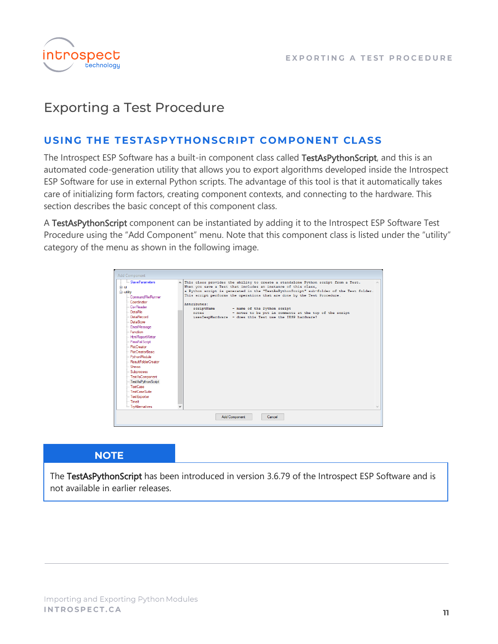

# <span id="page-10-0"></span>**Exporting a Test Procedure**

### <span id="page-10-1"></span>USING THE TESTASPYTHONSCRIPT COMPONENT CLASS

The Introspect ESP Software has a built-in component class called TestAsPythonScript, and this is an automated code-generation utility that allows you to export algorithms developed inside the Introspect ESP Software for use in external Python scripts. The advantage of this tool is that it automatically takes care of initializing form factors, creating component contexts, and connecting to the hardware. This section describes the basic concept of this component class.

A TestAsPythonScript component can be instantiated by adding it to the Introspect ESP Software Test Procedure using the "Add Component" menu. Note that this component class is listed under the "utility" category of the menu as shown in the following image.

| <b>Add Component</b>                                                                                                                                                                                                                                                                                                                                                                                                                                                 |              |                                                                                                                                                                                                                                                                                                                                                                                                                                                                                                                        |
|----------------------------------------------------------------------------------------------------------------------------------------------------------------------------------------------------------------------------------------------------------------------------------------------------------------------------------------------------------------------------------------------------------------------------------------------------------------------|--------------|------------------------------------------------------------------------------------------------------------------------------------------------------------------------------------------------------------------------------------------------------------------------------------------------------------------------------------------------------------------------------------------------------------------------------------------------------------------------------------------------------------------------|
| SlaveParameters<br>由·ui<br><b>E</b> -utility<br>CommandFileRunner<br>Coordinator<br>- Csy Reader<br>DataFile<br>Data Record<br>DataStore<br>-- EmailMessage<br>- Function<br>-- HtmlReportWriter<br>-- PassFailScript<br>- PlotCreator<br>- PlotCreatorBasic<br>--- Python Module<br>Result FolderCreator<br>- Shmoo<br>-- Subprocess<br>- TestAsComponent<br>TestAsPythonScript<br>- TestCase<br>- TestCaseSuite<br>Test Exporter<br>- Timelt<br>- Try Alternatives | $\checkmark$ | A This class provides the ability to create a standalone Python script from a Test.<br>When you save a Test that includes an instance of this class,<br>a Python script is generated in the "TestAsPythonScript" sub-folder of the Test folder.<br>This script performs the operations that are done by the Test Procedure.<br>Attributes:<br>scriptName<br>- name of the Python script<br>- notes to be put in comments at the top of the script<br>notes<br>usesIespHardware - does this Test use the IESP hardware? |
|                                                                                                                                                                                                                                                                                                                                                                                                                                                                      |              | <b>Add Component</b><br>Cancel                                                                                                                                                                                                                                                                                                                                                                                                                                                                                         |

#### **NOTE**

The TestAsPythonScript has been introduced in version 3.6.79 of the Introspect ESP Software and is not available in earlier releases.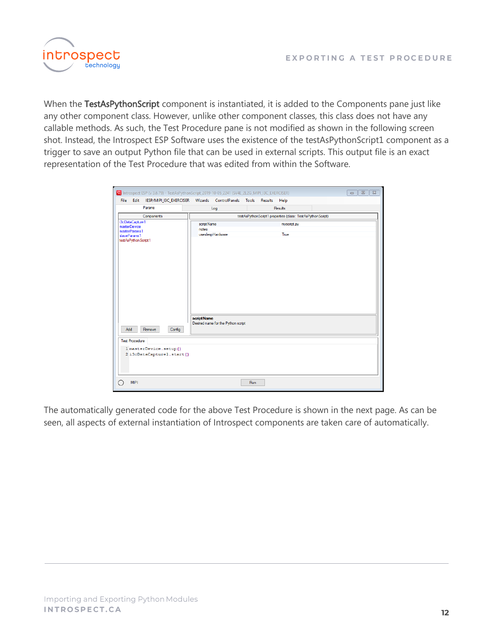

When the TestAsPythonScript component is instantiated, it is added to the Components pane just like any other component class. However, unlike other component classes, this class does not have any callable methods. As such, the Test Procedure pane is not modified as shown in the following screen shot. Instead, the Introspect ESP Software uses the existence of the testAsPythonScript1 component as a trigger to save an output Python file that can be used in external scripts. This output file is an exact representation of the Test Procedure that was edited from within the Software.

| 62 Introspect ESP (v 3.6.79) - TestAsPythonScript 2019-10-05 2241 (SV4E 2L2G_MIPI_I3C_EXERCISER) |                                                            |             | $\Sigma$<br>$\qquad \qquad \Box$<br>$\Box$ |  |  |  |  |
|--------------------------------------------------------------------------------------------------|------------------------------------------------------------|-------------|--------------------------------------------|--|--|--|--|
| Edit IESP/MIPI_I3C_EXERCISER Wizards ControlPanels Tools Results Help<br><b>File</b>             |                                                            |             |                                            |  |  |  |  |
| Params                                                                                           | Log                                                        | Results     |                                            |  |  |  |  |
| Components                                                                                       | testAsPythonScript1 properties (class: TestAsPythonScript) |             |                                            |  |  |  |  |
| i3cDataCapture1<br><i>masterDevice</i>                                                           | scriptName                                                 | myscript.py |                                            |  |  |  |  |
| masterParams1<br>slaveParams1                                                                    | notes<br>useslespHardware                                  | True        |                                            |  |  |  |  |
| testAsPythonScript1                                                                              |                                                            |             |                                            |  |  |  |  |
| Remove<br>Config<br>Add                                                                          | script Name<br>Desired name for the Python script          |             |                                            |  |  |  |  |
| <b>Test Procedure</b>                                                                            |                                                            |             |                                            |  |  |  |  |
| 1 masterDevice.setup()<br>2 i3cDataCapturel.start()                                              |                                                            |             |                                            |  |  |  |  |
| <b>MIPI</b>                                                                                      |                                                            | Run         |                                            |  |  |  |  |

The automatically generated code for the above Test Procedure is shown in the next page. As can be seen, all aspects of external instantiation of Introspect components are taken care of automatically.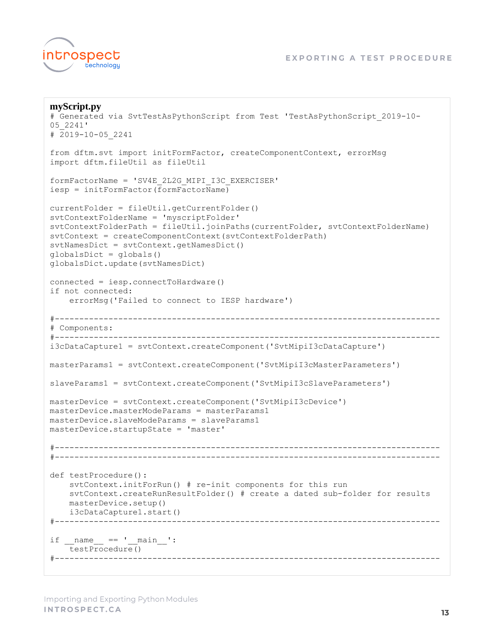

```
myScript.py
# Generated via SvtTestAsPythonScript from Test 'TestAsPythonScript_2019-10-
05_2241'
# 2019-10-05_2241
from dftm.svt import initFormFactor, createComponentContext, errorMsg
import dftm.fileUtil as fileUtil
formFactorName = 'SV4E_2L2G_MIPI_I3C_EXERCISER'
iesp = initFormFactor(formFactorName)
currentFolder = fileUtil.getCurrentFolder()
svtContextFolderName = 'myscriptFolder'
svtContextFolderPath = fileUtil.joinPaths(currentFolder, svtContextFolderName)
svtContext = createComponentContext(svtContextFolderPath)
svtNamesDict = svtContext.getNamesDict()
globalsDict = globals()
globalsDict.update(svtNamesDict)
connected = iesp.connectToHardware()
if not connected:
     errorMsg('Failed to connect to IESP hardware')
#-------------------------------------------------------------------------------
# Components:
#-------------------------------------------------------------------------------
i3cDataCapture1 = svtContext.createComponent('SvtMipiI3cDataCapture')
masterParams1 = svtContext.createComponent('SvtMipiI3cMasterParameters')
slaveParams1 = svtContext.createComponent('SvtMipiI3cSlaveParameters')
masterDevice = svtContext.createComponent('SvtMipiI3cDevice')
masterDevice.masterModeParams = masterParams1
masterDevice.slaveModeParams = slaveParams1
masterDevice.startupState = 'master'
#-------------------------------------------------------------------------------
#-------------------------------------------------------------------------------
def testProcedure():
     svtContext.initForRun() # re-init components for this run
     svtContext.createRunResultFolder() # create a dated sub-folder for results
     masterDevice.setup()
    i3cDataCapture1.start()
#-------------------------------------------------------------------------------
if name = 'main ':
    testProcedure()
#-------------------------------------------------------------------------------
```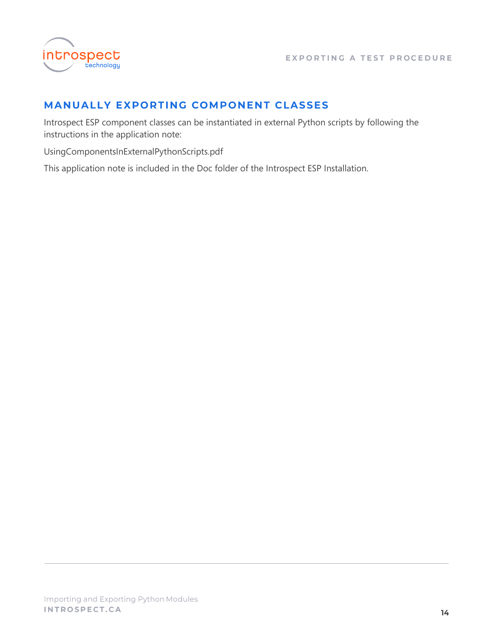

## <span id="page-13-0"></span>**MANUALLY EXPORTING COMPONENT CLASSES**

Introspect ESP component classes can be instantiated in external Python scripts by following the instructions in the application note:

UsingComponentsInExternalPythonScripts.pdf

This application note is included in the Doc folder of the Introspect ESP Installation.